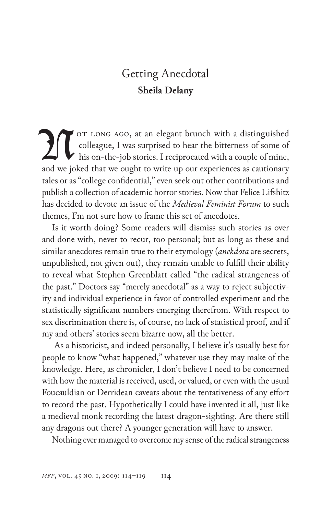## Getting Anecdotal **Sheila Delany**

ot long ago, at an elegant brunch with a distinguished colleague, I was surprised to hear the bitterness of some of OT LONG AGO, at an elegant brunch with a distinguished colleague, I was surprised to hear the bitterness of some of his on-the-job stories. I reciprocated with a couple of mine, and we joked that we ought to write up our experiences as cautionary tales or as "college confidential," even seek out other contributions and publish a collection of academic horror stories. Now that Felice Lifshitz has decided to devote an issue of the *Medieval Feminist Forum* to such themes, I'm not sure how to frame this set of anecdotes.

Is it worth doing? Some readers will dismiss such stories as over and done with, never to recur, too personal; but as long as these and similar anecdotes remain true to their etymology (*anekdota* are secrets, unpublished, not given out), they remain unable to fulfill their ability to reveal what Stephen Greenblatt called "the radical strangeness of the past." Doctors say "merely anecdotal" as a way to reject subjectivity and individual experience in favor of controlled experiment and the statistically significant numbers emerging therefrom. With respect to sex discrimination there is, of course, no lack of statistical proof, and if my and others' stories seem bizarre now, all the better.

 As a historicist, and indeed personally, I believe it's usually best for people to know "what happened," whatever use they may make of the knowledge. Here, as chronicler, I don't believe I need to be concerned with how the material is received, used, or valued, or even with the usual Foucauldian or Derridean caveats about the tentativeness of any effort to record the past. Hypothetically I could have invented it all, just like a medieval monk recording the latest dragon-sighting. Are there still any dragons out there? A younger generation will have to answer.

Nothing ever managed to overcome my sense of the radical strangeness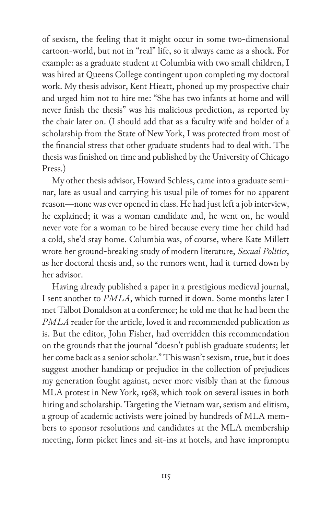of sexism, the feeling that it might occur in some two-dimensional cartoon-world, but not in "real" life, so it always came as a shock. For example: as a graduate student at Columbia with two small children, I was hired at Queens College contingent upon completing my doctoral work. My thesis advisor, Kent Hieatt, phoned up my prospective chair and urged him not to hire me: "She has two infants at home and will never finish the thesis" was his malicious prediction, as reported by the chair later on. (I should add that as a faculty wife and holder of a scholarship from the State of New York, I was protected from most of the financial stress that other graduate students had to deal with. The thesis was finished on time and published by the University of Chicago Press.)

My other thesis advisor, Howard Schless, came into a graduate seminar, late as usual and carrying his usual pile of tomes for no apparent reason—none was ever opened in class. He had just left a job interview, he explained; it was a woman candidate and, he went on, he would never vote for a woman to be hired because every time her child had a cold, she'd stay home. Columbia was, of course, where Kate Millett wrote her ground-breaking study of modern literature, *Sexual Politics*, as her doctoral thesis and, so the rumors went, had it turned down by her advisor.

Having already published a paper in a prestigious medieval journal, I sent another to *PMLA*, which turned it down. Some months later I met Talbot Donaldson at a conference; he told me that he had been the *PMLA* reader for the article, loved it and recommended publication as is. But the editor, John Fisher, had overridden this recommendation on the grounds that the journal "doesn't publish graduate students; let her come back as a senior scholar." This wasn't sexism, true, but it does suggest another handicap or prejudice in the collection of prejudices my generation fought against, never more visibly than at the famous MLA protest in New York, 1968, which took on several issues in both hiring and scholarship. Targeting the Vietnam war, sexism and elitism, a group of academic activists were joined by hundreds of MLA members to sponsor resolutions and candidates at the MLA membership meeting, form picket lines and sit-ins at hotels, and have impromptu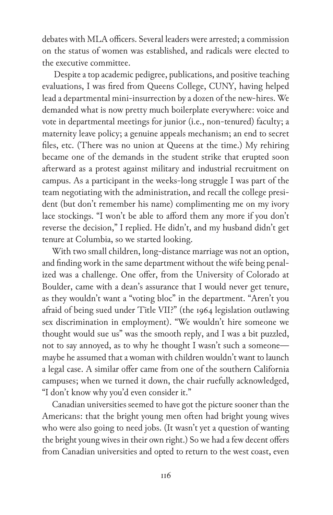debates with MLA officers. Several leaders were arrested; a commission on the status of women was established, and radicals were elected to the executive committee.

 Despite a top academic pedigree, publications, and positive teaching evaluations, I was fired from Queens College, CUNY, having helped lead a departmental mini-insurrection by a dozen of the new-hires. We demanded what is now pretty much boilerplate everywhere: voice and vote in departmental meetings for junior (i.e., non-tenured) faculty; a maternity leave policy; a genuine appeals mechanism; an end to secret files, etc. (There was no union at Queens at the time.) My rehiring became one of the demands in the student strike that erupted soon afterward as a protest against military and industrial recruitment on campus. As a participant in the weeks-long struggle I was part of the team negotiating with the administration, and recall the college president (but don't remember his name) complimenting me on my ivory lace stockings. "I won't be able to afford them any more if you don't reverse the decision," I replied. He didn't, and my husband didn't get tenure at Columbia, so we started looking.

With two small children, long-distance marriage was not an option, and finding work in the same department without the wife being penalized was a challenge. One offer, from the University of Colorado at Boulder, came with a dean's assurance that I would never get tenure, as they wouldn't want a "voting bloc" in the department. "Aren't you afraid of being sued under Title VII?" (the 1964 legislation outlawing sex discrimination in employment). "We wouldn't hire someone we thought would sue us" was the smooth reply, and I was a bit puzzled, not to say annoyed, as to why he thought I wasn't such a someone maybe he assumed that a woman with children wouldn't want to launch a legal case. A similar offer came from one of the southern California campuses; when we turned it down, the chair ruefully acknowledged, "I don't know why you'd even consider it."

Canadian universities seemed to have got the picture sooner than the Americans: that the bright young men often had bright young wives who were also going to need jobs. (It wasn't yet a question of wanting the bright young wives in their own right.) So we had a few decent offers from Canadian universities and opted to return to the west coast, even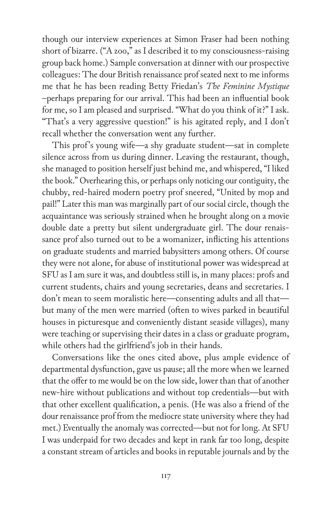though our interview experiences at Simon Fraser had been nothing short of bizarre. ("A zoo," as I described it to my consciousness-raising group back home.) Sample conversation at dinner with our prospective colleagues: The dour British renaissance prof seated next to me informs me that he has been reading Betty Friedan's *The Feminine Mystique* –perhaps preparing for our arrival. This had been an influential book for me, so I am pleased and surprised. "What do you think of it?" I ask. "That's a very aggressive question!" is his agitated reply, and I don't recall whether the conversation went any further.

This prof's young wife—a shy graduate student—sat in complete silence across from us during dinner. Leaving the restaurant, though, she managed to position herself just behind me, and whispered, "I liked the book." Overhearing this, or perhaps only noticing our contiguity, the chubby, red-haired modern poetry prof sneered, "United by mop and pail!" Later this man was marginally part of our social circle, though the acquaintance was seriously strained when he brought along on a movie double date a pretty but silent undergraduate girl. The dour renaissance prof also turned out to be a womanizer, inflicting his attentions on graduate students and married babysitters among others. Of course they were not alone, for abuse of institutional power was widespread at SFU as I am sure it was, and doubtless still is, in many places: profs and current students, chairs and young secretaries, deans and secretaries. I don't mean to seem moralistic here—consenting adults and all that but many of the men were married (often to wives parked in beautiful houses in picturesque and conveniently distant seaside villages), many were teaching or supervising their dates in a class or graduate program, while others had the girlfriend's job in their hands.

Conversations like the ones cited above, plus ample evidence of departmental dysfunction, gave us pause; all the more when we learned that the offer to me would be on the low side, lower than that of another new-hire without publications and without top credentials—but with that other excellent qualification, a penis. (He was also a friend of the dour renaissance prof from the mediocre state university where they had met.) Eventually the anomaly was corrected—but not for long. At SFU I was underpaid for two decades and kept in rank far too long, despite a constant stream of articles and books in reputable journals and by the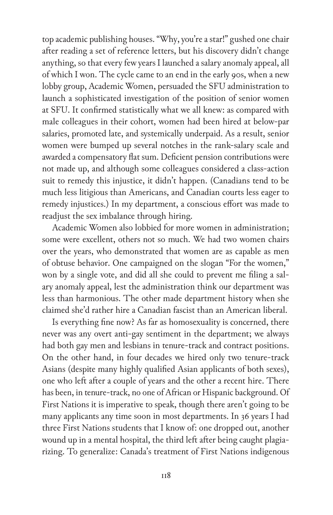top academic publishing houses. "Why, you're a star!" gushed one chair after reading a set of reference letters, but his discovery didn't change anything, so that every few years I launched a salary anomaly appeal, all of which I won. The cycle came to an end in the early 90s, when a new lobby group, Academic Women, persuaded the SFU administration to launch a sophisticated investigation of the position of senior women at SFU. It confirmed statistically what we all knew: as compared with male colleagues in their cohort, women had been hired at below-par salaries, promoted late, and systemically underpaid. As a result, senior women were bumped up several notches in the rank-salary scale and awarded a compensatory flat sum. Deficient pension contributions were not made up, and although some colleagues considered a class-action suit to remedy this injustice, it didn't happen. (Canadians tend to be much less litigious than Americans, and Canadian courts less eager to remedy injustices.) In my department, a conscious effort was made to readjust the sex imbalance through hiring.

Academic Women also lobbied for more women in administration; some were excellent, others not so much. We had two women chairs over the years, who demonstrated that women are as capable as men of obtuse behavior. One campaigned on the slogan "For the women," won by a single vote, and did all she could to prevent me filing a salary anomaly appeal, lest the administration think our department was less than harmonious. The other made department history when she claimed she'd rather hire a Canadian fascist than an American liberal.

Is everything fine now? As far as homosexuality is concerned, there never was any overt anti-gay sentiment in the department; we always had both gay men and lesbians in tenure-track and contract positions. On the other hand, in four decades we hired only two tenure-track Asians (despite many highly qualified Asian applicants of both sexes), one who left after a couple of years and the other a recent hire. There has been, in tenure-track, no one of African or Hispanic background. Of First Nations it is imperative to speak, though there aren't going to be many applicants any time soon in most departments. In 36 years I had three First Nations students that I know of: one dropped out, another wound up in a mental hospital, the third left after being caught plagiarizing. To generalize: Canada's treatment of First Nations indigenous